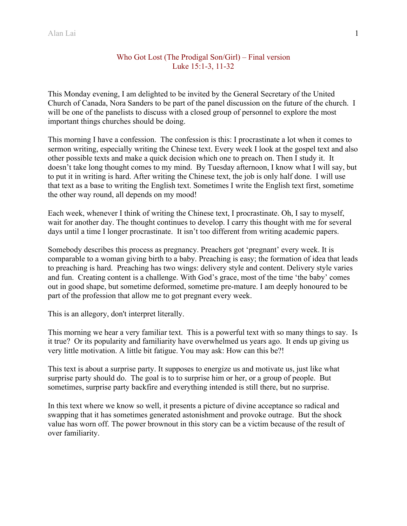## Who Got Lost (The Prodigal Son/Girl) – Final version Luke 15:1-3, 11-32

This Monday evening, I am delighted to be invited by the General Secretary of the United Church of Canada, Nora Sanders to be part of the panel discussion on the future of the church. I will be one of the panelists to discuss with a closed group of personnel to explore the most important things churches should be doing.

This morning I have a confession. The confession is this: I procrastinate a lot when it comes to sermon writing, especially writing the Chinese text. Every week I look at the gospel text and also other possible texts and make a quick decision which one to preach on. Then I study it. It doesn't take long thought comes to my mind. By Tuesday afternoon, I know what I will say, but to put it in writing is hard. After writing the Chinese text, the job is only half done. I will use that text as a base to writing the English text. Sometimes I write the English text first, sometime the other way round, all depends on my mood!

Each week, whenever I think of writing the Chinese text, I procrastinate. Oh, I say to myself, wait for another day. The thought continues to develop. I carry this thought with me for several days until a time I longer procrastinate. It isn't too different from writing academic papers.

Somebody describes this process as pregnancy. Preachers got 'pregnant' every week. It is comparable to a woman giving birth to a baby. Preaching is easy; the formation of idea that leads to preaching is hard. Preaching has two wings: delivery style and content. Delivery style varies and fun. Creating content is a challenge. With God's grace, most of the time 'the baby' comes out in good shape, but sometime deformed, sometime pre-mature. I am deeply honoured to be part of the profession that allow me to got pregnant every week.

This is an allegory, don't interpret literally.

This morning we hear a very familiar text. This is a powerful text with so many things to say. Is it true? Or its popularity and familiarity have overwhelmed us years ago. It ends up giving us very little motivation. A little bit fatigue. You may ask: How can this be?!

This text is about a surprise party. It supposes to energize us and motivate us, just like what surprise party should do. The goal is to to surprise him or her, or a group of people. But sometimes, surprise party backfire and everything intended is still there, but no surprise.

In this text where we know so well, it presents a picture of divine acceptance so radical and swapping that it has sometimes generated astonishment and provoke outrage. But the shock value has worn off. The power brownout in this story can be a victim because of the result of over familiarity.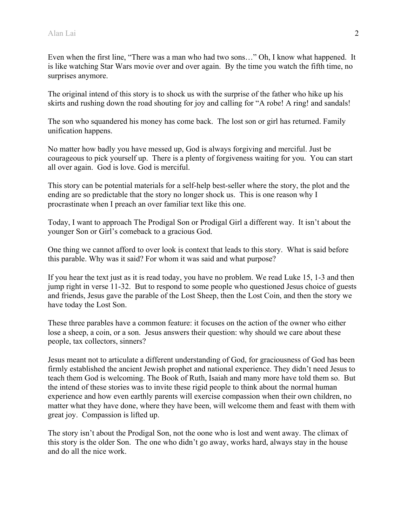Even when the first line, "There was a man who had two sons…" Oh, I know what happened. It is like watching Star Wars movie over and over again. By the time you watch the fifth time, no surprises anymore.

The original intend of this story is to shock us with the surprise of the father who hike up his skirts and rushing down the road shouting for joy and calling for "A robe! A ring! and sandals!

The son who squandered his money has come back. The lost son or girl has returned. Family unification happens.

No matter how badly you have messed up, God is always forgiving and merciful. Just be courageous to pick yourself up. There is a plenty of forgiveness waiting for you. You can start all over again. God is love. God is merciful.

This story can be potential materials for a self-help best-seller where the story, the plot and the ending are so predictable that the story no longer shock us. This is one reason why I procrastinate when I preach an over familiar text like this one.

Today, I want to approach The Prodigal Son or Prodigal Girl a different way. It isn't about the younger Son or Girl's comeback to a gracious God.

One thing we cannot afford to over look is context that leads to this story. What is said before this parable. Why was it said? For whom it was said and what purpose?

If you hear the text just as it is read today, you have no problem. We read Luke 15, 1-3 and then jump right in verse 11-32. But to respond to some people who questioned Jesus choice of guests and friends, Jesus gave the parable of the Lost Sheep, then the Lost Coin, and then the story we have today the Lost Son.

These three parables have a common feature: it focuses on the action of the owner who either lose a sheep, a coin, or a son. Jesus answers their question: why should we care about these people, tax collectors, sinners?

Jesus meant not to articulate a different understanding of God, for graciousness of God has been firmly established the ancient Jewish prophet and national experience. They didn't need Jesus to teach them God is welcoming. The Book of Ruth, Isaiah and many more have told them so. But the intend of these stories was to invite these rigid people to think about the normal human experience and how even earthly parents will exercise compassion when their own children, no matter what they have done, where they have been, will welcome them and feast with them with great joy. Compassion is lifted up.

The story isn't about the Prodigal Son, not the oone who is lost and went away. The climax of this story is the older Son. The one who didn't go away, works hard, always stay in the house and do all the nice work.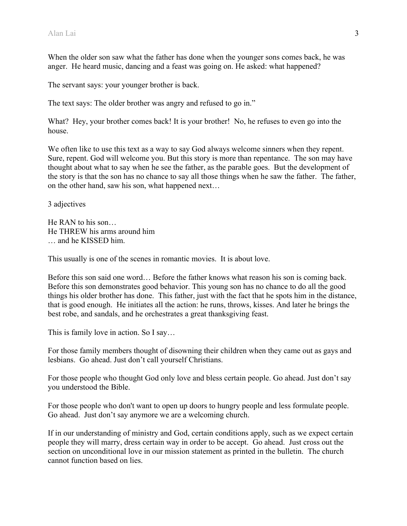When the older son saw what the father has done when the younger sons comes back, he was anger. He heard music, dancing and a feast was going on. He asked: what happened?

The servant says: your younger brother is back.

The text says: The older brother was angry and refused to go in."

What? Hey, your brother comes back! It is your brother! No, he refuses to even go into the house.

We often like to use this text as a way to say God always welcome sinners when they repent. Sure, repent. God will welcome you. But this story is more than repentance. The son may have thought about what to say when he see the father, as the parable goes. But the development of the story is that the son has no chance to say all those things when he saw the father. The father, on the other hand, saw his son, what happened next…

3 adjectives

He RAN to his son… He THREW his arms around him … and he KISSED him.

This usually is one of the scenes in romantic movies. It is about love.

Before this son said one word… Before the father knows what reason his son is coming back. Before this son demonstrates good behavior. This young son has no chance to do all the good things his older brother has done. This father, just with the fact that he spots him in the distance, that is good enough. He initiates all the action: he runs, throws, kisses. And later he brings the best robe, and sandals, and he orchestrates a great thanksgiving feast.

This is family love in action. So I say…

For those family members thought of disowning their children when they came out as gays and lesbians. Go ahead. Just don't call yourself Christians.

For those people who thought God only love and bless certain people. Go ahead. Just don't say you understood the Bible.

For those people who don't want to open up doors to hungry people and less formulate people. Go ahead. Just don't say anymore we are a welcoming church.

If in our understanding of ministry and God, certain conditions apply, such as we expect certain people they will marry, dress certain way in order to be accept. Go ahead. Just cross out the section on unconditional love in our mission statement as printed in the bulletin. The church cannot function based on lies.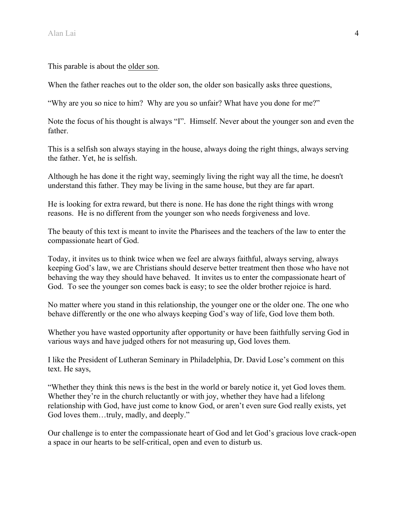This parable is about the older son.

When the father reaches out to the older son, the older son basically asks three questions,

"Why are you so nice to him? Why are you so unfair? What have you done for me?"

Note the focus of his thought is always "I". Himself. Never about the younger son and even the father.

This is a selfish son always staying in the house, always doing the right things, always serving the father. Yet, he is selfish.

Although he has done it the right way, seemingly living the right way all the time, he doesn't understand this father. They may be living in the same house, but they are far apart.

He is looking for extra reward, but there is none. He has done the right things with wrong reasons. He is no different from the younger son who needs forgiveness and love.

The beauty of this text is meant to invite the Pharisees and the teachers of the law to enter the compassionate heart of God.

Today, it invites us to think twice when we feel are always faithful, always serving, always keeping God's law, we are Christians should deserve better treatment then those who have not behaving the way they should have behaved. It invites us to enter the compassionate heart of God. To see the younger son comes back is easy; to see the older brother rejoice is hard.

No matter where you stand in this relationship, the younger one or the older one. The one who behave differently or the one who always keeping God's way of life, God love them both.

Whether you have wasted opportunity after opportunity or have been faithfully serving God in various ways and have judged others for not measuring up, God loves them.

I like the President of Lutheran Seminary in Philadelphia, Dr. David Lose's comment on this text. He says,

"Whether they think this news is the best in the world or barely notice it, yet God loves them. Whether they're in the church reluctantly or with joy, whether they have had a lifelong relationship with God, have just come to know God, or aren't even sure God really exists, yet God loves them...truly, madly, and deeply."

Our challenge is to enter the compassionate heart of God and let God's gracious love crack-open a space in our hearts to be self-critical, open and even to disturb us.